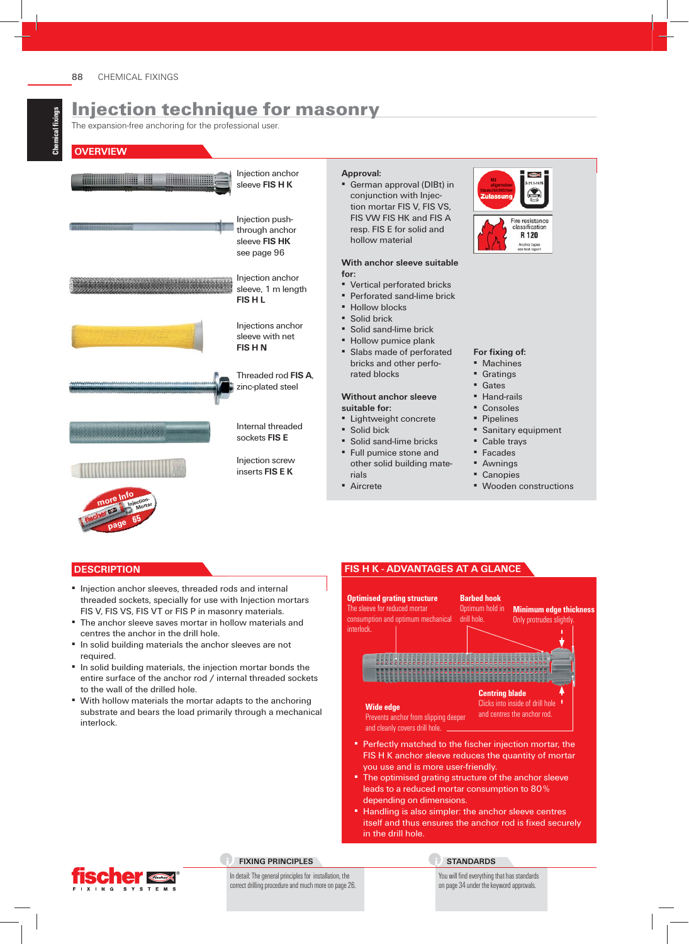The expansion-free anchoring for the professional user.

#### **OVERVIEW**



#### **Approval:** ▪ German approval (DIBt) in

conjunction with Injection mortar FIS V, FIS VS, FIS VW FIS HK and FIS A resp. FIS E for solid and hollow material

#### **With anchor sleeve suitable for:**

- Vertical perforated bricks
- Perforated sand-lime brick
- Hollow blocks
- **Solid brick**
- Solid sand-lime brick
- Hollow pumice plank
- Slabs made of perforated bricks and other perforated blocks

#### **Without anchor sleeve suitable for:**

- Lightweight concrete **Solid bick**
- Solid sand-lime bricks
- Full pumice stone and other solid building mate-
- rials ■ Aircrete
- For fixing of:
- Machines
- Gratings
- **Gates**
- Hand-rails
- Consoles
- Pipelines
- **Banitary equipment**

resistance sificatio R 120

- Cable trays
- Facades
- Awnings
- Canopies
- Wooden constructions

## **DESCRIPTION**

- Injection anchor sleeves, threaded rods and internal threaded sockets, specially for use with Injection mortars FIS V, FIS VS, FIS VT or FIS P in masonry materials.
- The anchor sleeve saves mortar in hollow materials and centres the anchor in the drill hole.
- **.** In solid building materials the anchor sleeves are not required.
- **.** In solid building materials, the injection mortar bonds the entire surface of the anchor rod / internal threaded sockets to the wall of the drilled hole.
- With hollow materials the mortar adapts to the anchoring substrate and bears the load primarily through a mechanical interlock.

## **FIS H K - ADVANTAGES AT A GLANCE**



- FIS H K anchor sleeve reduces the quantity of mortar you use and is more user-friendly.
- **The optimised grating structure of the anchor sleeve** leads to a reduced mortar consumption to 80 % depending on dimensions.
- **EXTER 1** Handling is also simpler: the anchor sleeve centres itself and thus ensures the anchor rod is fixed securely in the drill hole.



#### **FIXING PRINCIPLES**

#### In detail: The general principles for installation, the correct drilling procedure and much more on page 26.

#### **STANDARDS**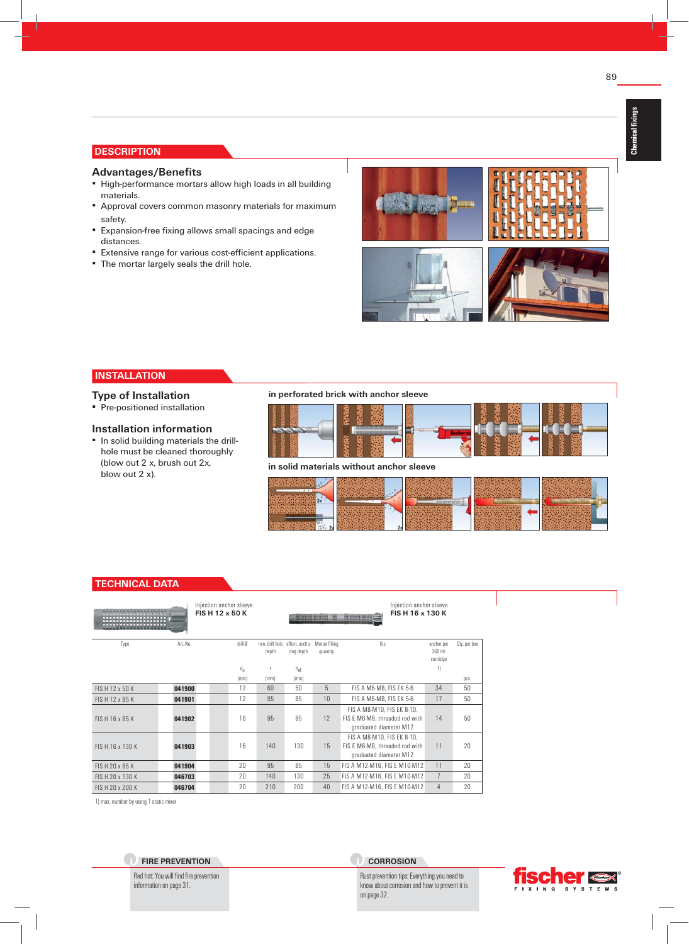# **DESCRIPTION**

#### **Advantages/Benefits**

- **EXTENDING** High-performance mortars allow high loads in all building materials.
- **E** Approval covers common masonry materials for maximum safety.
- **Expansion-free fixing allows small spacings and edge** distances.
- **Extensive range for various cost-efficient applications.**
- The mortar largely seals the drill hole.



## **INSTALLATION**

#### **Type of Installation**

▪ Pre-positioned installation

#### **Installation information**

▪ In solid building materials the drillhole must be cleaned thoroughly (blow out 2 x, brush out 2x, blow out 2 x).

#### **in perforated brick with anchor sleeve**



#### **in solid materials without anchor sleeve**



# **TECHNICAL DATA**

| -----------      |         | Injection anchor sleeve<br>FISH 12 x 50 K |                          |                              | <u> Hillian Hill</u>       | Injection anchor sleeve<br>FISH 16 x 130 K<br><b>HOURSELL</b>                          |                         |              |
|------------------|---------|-------------------------------------------|--------------------------|------------------------------|----------------------------|----------------------------------------------------------------------------------------|-------------------------|--------------|
| Type             | Art-No. | drill-Ø                                   | min. drill hole<br>depth | effect, ancho-<br>ring depth | Mortar filling<br>quantity | fits                                                                                   | anchor per<br>$360$ ml- | Oty, per box |
|                  |         |                                           |                          |                              |                            |                                                                                        | cartridge               |              |
|                  |         | $d_{n}$                                   |                          | $h_{\text{ef}}$              |                            |                                                                                        | 1)                      |              |
|                  |         | [mm]                                      | [mm]                     | [mm]                         |                            |                                                                                        |                         | pcs.         |
| FISH 12 x 50 K   | 041900  | 12                                        | 60                       | 50                           | 5                          | FIS A M6-M8, FIS EK 5-6                                                                | 34                      | 50           |
| FISH 12 x 85 K   | 041901  | 12                                        | 95                       | 85                           | 10                         | FIS A M6-M8, FIS EK 5-6                                                                | 17                      | 50           |
| FISH 16 x 85 K   | 041902  | 16                                        | 95                       | 85                           | 12                         | FIS A M8-M10, FIS EK 8-10,<br>FIS E M6-M8, threaded rod with<br>graduated diameter M12 | 14                      | 50           |
| FIS H 16 x 130 K | 041903  | 16                                        | 140                      | 130                          | 15                         | FIS A M8-M10, FIS EK 8-10,<br>FIS E M6-M8, threaded rod with<br>graduated diameter M12 | 11                      | 20           |
| FISH 20 x 85 K   | 041904  | 20                                        | 95                       | 85                           | 15                         | FIS A M12-M16, FIS E M10-M12                                                           | 11                      | 20           |
| FISH 20 x 130 K  | 046703  | 20                                        | 140                      | 130                          | 25                         | FIS A M12-M16, FIS E M10-M12                                                           | $\overline{7}$          | 20           |
| FIS H 20 x 200 K | 046704  | 20                                        | 210                      | 200                          | 40                         | FIS A M12-M16. FIS E M10-M12                                                           | $\overline{4}$          | 20           |

1) max. number by using 1 static mixer

**FIRE PREVENTION** Red hot: You will find fire prevention

information on page 31.

# **CORROSION**

Rust prevention tips: Everything you need to know about corrosion and how to prevent it is on page 32.

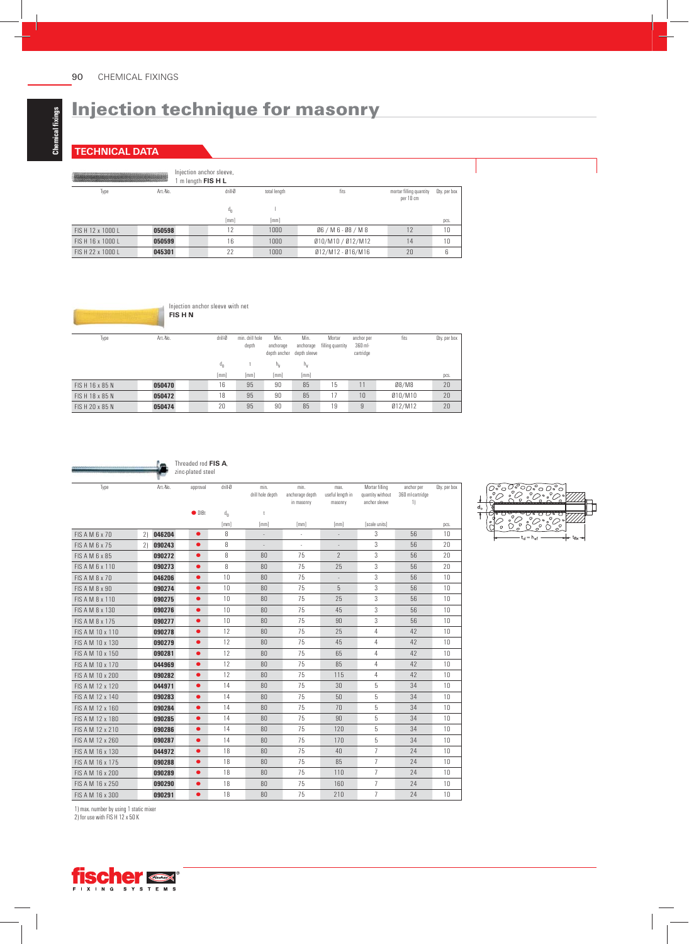# **TECHNICAL DATA**

| <b>Structures of the Control William Color Property</b><br><u> Alexandria especial compositorial en la regional de</u> |          | Injection anchor sleeve,<br>$m$ length $FIS H L$ |              |                     |                         |              |
|------------------------------------------------------------------------------------------------------------------------|----------|--------------------------------------------------|--------------|---------------------|-------------------------|--------------|
| Type                                                                                                                   | Art.-No. | drill-Ø                                          | total length | fits                | mortar filling quantity | Oty, per box |
|                                                                                                                        |          |                                                  |              |                     | per 10 cm               |              |
|                                                                                                                        |          | $d_{n}$                                          |              |                     |                         |              |
|                                                                                                                        |          | [mm]                                             | [mm]         |                     |                         | pcs.         |
| $FIS H 12 \times 10001$                                                                                                | 050598   | 12                                               | 1000         | 06/M6-08/M8         | 12                      | 10           |
| FIS H 16 x 1000 L                                                                                                      | 050599   | 16                                               | 1000         | 010/M10 / 012/M12   | 14                      | 10           |
| FIS H 22 x 1000 L                                                                                                      | 045301   | 22                                               | 1000         | $012/M12 - 016/M16$ | 20                      |              |



| Type            | Art.-No. | drill-Ø | min, drill hole<br>depth | Min.<br>anchorage<br>depth anchor | Min.<br>anchorage<br>depth sleeve | Mortar<br>filling quantity | anchor per<br>$360$ ml-<br>cartridge | fits    | Oty. per box |
|-----------------|----------|---------|--------------------------|-----------------------------------|-----------------------------------|----------------------------|--------------------------------------|---------|--------------|
|                 |          | $d_{n}$ |                          | $n_{\rm v}$                       | $h_v$                             |                            |                                      |         |              |
|                 |          | [mm]    | [mm]                     | $\lceil$ mm $\rceil$              | [mm]                              |                            |                                      |         | pcs.         |
| FIS H 16 x 85 N | 050470   | 16      | 95                       | 90                                | 85                                | 15                         |                                      | 08/M8   | 20           |
| FISH 18 x 85 N  | 050472   | 18      | 95                       | 90                                | 85                                | 17                         | 10                                   | Ø10/M10 | 20           |
| FIS H 20 x 85 N | 050474   | 20      | 95                       | 90                                | 85                                | 19                         | 9                                    | Ø12/M12 | 20           |



| Type                  |    | Art.-No. | approval       | drill-Ø | min.<br>drill hole depth | min.<br>anchorage depth | max.<br>useful length in | Mortar filling<br>quantity without | anchor per<br>360 ml-cartridge | Oty, per box |
|-----------------------|----|----------|----------------|---------|--------------------------|-------------------------|--------------------------|------------------------------------|--------------------------------|--------------|
|                       |    |          |                |         |                          | in masonry              | masonry                  | anchor sleeve                      | 1)                             |              |
|                       |    |          | $\bullet$ DIBt | $d_{n}$ | t                        |                         |                          |                                    |                                |              |
|                       |    |          |                | [mm]    | [mm]                     | $\lceil mm \rceil$      | [mm]                     | [scale units]                      |                                | pcs.         |
| FIS A M 6 x 70        | 21 | 046204   | $\bullet$      | 8       | $\overline{\phantom{a}}$ | ÷.                      | $\bar{ }$                | 3                                  | 56                             | 10           |
| FIS A M 6 x 75        | 21 | 090243   | $\bullet$      | 8       |                          | ÷,                      | $\overline{\phantom{a}}$ | 3                                  | 56                             | 20           |
| <b>FIS A M 6 x 85</b> |    | 090272   | $\bullet$      | 8       | 80                       | 75                      | $\overline{2}$           | 3                                  | 56                             | 20           |
| FIS A M 6 x 110       |    | 090273   | $\bullet$      | 8       | 80                       | 75                      | 25                       | 3                                  | 56                             | 20           |
| FIS A M 8 x 70        |    | 046206   | $\bullet$      | 10      | 80                       | 75                      |                          | 3                                  | 56                             | 10           |
| FIS A M 8 x 90        |    | 090274   | $\bullet$      | 10      | 80                       | 75                      | 5                        | 3                                  | 56                             | 10           |
| FIS A M 8 x 110       |    | 090275   | $\bullet$      | 10      | 80                       | 75                      | 25                       | 3                                  | 56                             | 10           |
| FIS A M 8 x 130       |    | 090276   | $\bullet$      | 10      | 80                       | 75                      | 45                       | 3                                  | 56                             | 10           |
| FIS A M 8 x 175       |    | 090277   | $\bullet$      | 10      | 80                       | 75                      | 90                       | 3                                  | 56                             | 10           |
| FIS A M 10 x 110      |    | 090278   | $\bullet$      | 12      | 80                       | 75                      | 25                       | 4                                  | 42                             | 10           |
| FIS A M 10 x 130      |    | 090279   | $\bullet$      | 12      | 80                       | 75                      | 45                       | 4                                  | 42                             | 10           |
| FIS A M 10 x 150      |    | 090281   | $\bullet$      | 12      | 80                       | 75                      | 65                       | 4                                  | 42                             | 10           |
| FIS A M 10 x 170      |    | 044969   | $\bullet$      | 12      | 80                       | 75                      | 85                       | 4                                  | 42                             | 10           |
| FIS A M 10 x 200      |    | 090282   | $\bullet$      | 12      | 80                       | 75                      | 115                      | 4                                  | 42                             | 10           |
| FIS A M 12 x 120      |    | 044971   | $\bullet$      | 14      | 80                       | 75                      | 30                       | 5                                  | 34                             | 10           |
| FIS A M 12 x 140      |    | 090283   | $\bullet$      | 14      | 80                       | 75                      | 50                       | 5                                  | 34                             | 10           |
| FIS A M 12 x 160      |    | 090284   | $\bullet$      | 14      | 80                       | 75                      | 70                       | 5                                  | 34                             | 10           |
| FIS A M 12 x 180      |    | 090285   | $\bullet$      | 14      | 80                       | 75                      | 90                       | 5                                  | 34                             | 10           |
| FIS A M 12 x 210      |    | 090286   | $\bullet$      | 14      | 80                       | 75                      | 120                      | 5                                  | 34                             | 10           |
| FIS A M 12 x 260      |    | 090287   | $\bullet$      | 14      | 80                       | 75                      | 170                      | 5                                  | 34                             | 10           |
| FIS A M 16 x 130      |    | 044972   | $\bullet$      | 18      | 80                       | 75                      | 40                       | $\overline{7}$                     | 24                             | 10           |
| FIS A M 16 x 175      |    | 090288   | $\bullet$      | 18      | 80                       | 75                      | 85                       | $\overline{7}$                     | 24                             | 10           |
| FIS A M 16 x 200      |    | 090289   | $\bullet$      | 18      | 80                       | 75                      | 110                      | $\overline{7}$                     | 24                             | 10           |
| FIS A M 16 x 250      |    | 090290   | $\bullet$      | 18      | 80                       | 75                      | 160                      | $\overline{7}$                     | 24                             | 10           |
| FIS A M 16 x 300      |    | 090291   | $\bullet$      | 18      | 80                       | 75                      | 210                      | $\overline{7}$                     | 24                             | 10           |



1) max. number by using 1 static mixer

2) for use with FIS H 12 x 50 K

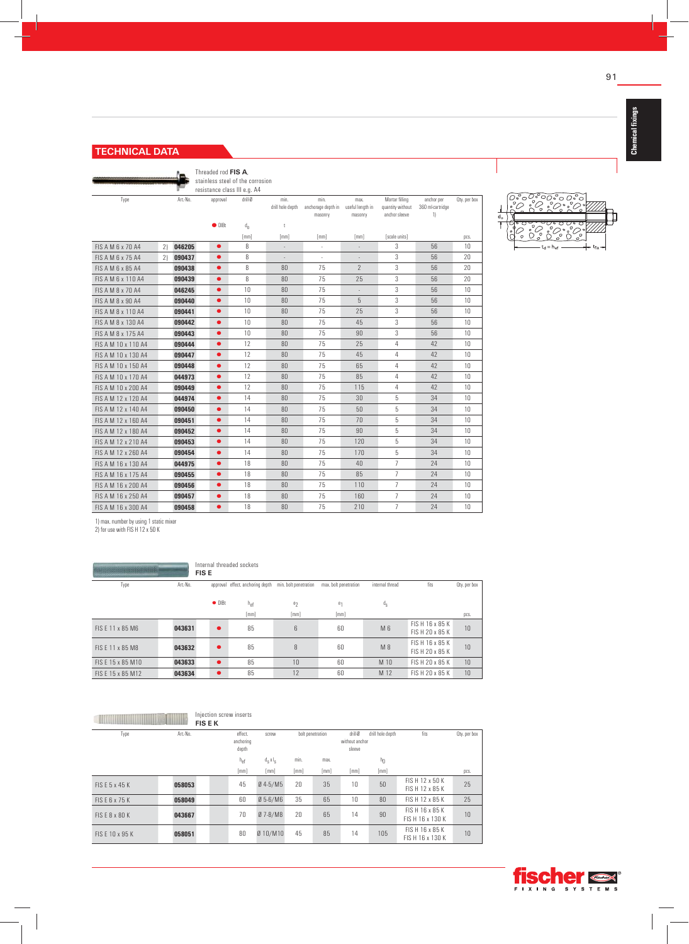# **TECHNICAL DATA**

Îπ Threaded rod **FIS A**, stainless steel of the corrosion

resistance class III e.g. A4

| Type                     |    | Art.-No. | approval       | drill-Ø | min.<br>drill hole depth | min.<br>anchorage depth in<br>masonry | max.<br>useful length in<br>masonry | Mortar filling<br>quantity without<br>anchor sleeve | anchor per<br>360 ml-cartridge<br>1) | Oty. per box |
|--------------------------|----|----------|----------------|---------|--------------------------|---------------------------------------|-------------------------------------|-----------------------------------------------------|--------------------------------------|--------------|
|                          |    |          | $\bullet$ DIBt | $d_n$   | Ť                        |                                       |                                     |                                                     |                                      |              |
|                          |    |          |                | [mm]    | [mm]                     | [mm]                                  | [mm]                                | [scale units]                                       |                                      | pcs.         |
| <b>FIS A M 6 x 70 A4</b> | 21 | 046205   | $\bullet$      | 8       | $\frac{1}{2}$            | $\sim$                                | ÷.                                  | 3                                                   | 56                                   | 10           |
| <b>FIS A M 6 x 75 A4</b> | 21 | 090437   | $\bullet$      | 8       |                          |                                       |                                     | 3                                                   | 56                                   | 20           |
| FIS A M 6 x 85 A4        |    | 090438   | $\bullet$      | 8       | 80                       | 75                                    | $\overline{2}$                      | 3                                                   | 56                                   | 20           |
| FIS A M 6 x 110 A4       |    | 090439   | $\bullet$      | 8       | 80                       | 75                                    | 25                                  | 3                                                   | 56                                   | 20           |
| FIS A M 8 x 70 A4        |    | 046245   | $\bullet$      | 10      | 80                       | 75                                    | ÷.                                  | 3                                                   | 56                                   | 10           |
| FIS A M 8 x 90 A4        |    | 090440   | $\bullet$      | 10      | 80                       | 75                                    | 5                                   | 3                                                   | 56                                   | 10           |
| FIS A M 8 x 110 A4       |    | 090441   | $\bullet$      | 10      | 80                       | 75                                    | 25                                  | 3                                                   | 56                                   | 10           |
| FIS A M 8 x 130 A4       |    | 090442   | $\bullet$      | 10      | 80                       | 75                                    | 45                                  | 3                                                   | 56                                   | 10           |
| FIS A M 8 x 175 A4       |    | 090443   | $\bullet$      | 10      | 80                       | 75                                    | 90                                  | 3                                                   | 56                                   | 10           |
| FIS A M 10 x 110 A4      |    | 090444   | $\bullet$      | 12      | 80                       | 75                                    | 25                                  | 4                                                   | 42                                   | 10           |
| FIS A M 10 x 130 A4      |    | 090447   | $\bullet$      | 12      | 80                       | 75                                    | 45                                  | 4                                                   | 42                                   | 10           |
| FIS A M 10 x 150 A4      |    | 090448   | $\bullet$      | 12      | 80                       | 75                                    | 65                                  | 4                                                   | 42                                   | 10           |
| FIS A M 10 x 170 A4      |    | 044973   | $\bullet$      | 12      | 80                       | 75                                    | 85                                  | 4                                                   | 42                                   | 10           |
| FIS A M 10 x 200 A4      |    | 090449   | $\bullet$      | 12      | 80                       | 75                                    | 115                                 | 4                                                   | 42                                   | 10           |
| FIS A M 12 x 120 A4      |    | 044974   | $\bullet$      | 14      | 80                       | 75                                    | 30                                  | 5                                                   | 34                                   | 10           |
| FIS A M 12 x 140 A4      |    | 090450   | $\bullet$      | 14      | 80                       | 75                                    | 50                                  | 5                                                   | 34                                   | 10           |
| FIS A M 12 x 160 A4      |    | 090451   | $\bullet$      | 14      | 80                       | 75                                    | 70                                  | 5                                                   | 34                                   | 10           |
| FIS A M 12 x 180 A4      |    | 090452   | $\bullet$      | 14      | 80                       | 75                                    | 90                                  | 5                                                   | 34                                   | 10           |
| FIS A M 12 x 210 A4      |    | 090453   | $\bullet$      | 14      | 80                       | 75                                    | 120                                 | 5                                                   | 34                                   | 10           |
| FIS A M 12 x 260 A4      |    | 090454   | $\bullet$      | 14      | 80                       | 75                                    | 170                                 | 5                                                   | 34                                   | 10           |
| FIS A M 16 x 130 A4      |    | 044975   | $\bullet$      | 18      | 80                       | 75                                    | 40                                  | $\overline{7}$                                      | 24                                   | 10           |
| FIS A M 16 x 175 A4      |    | 090455   | $\bullet$      | 18      | 80                       | 75                                    | 85                                  | $\overline{7}$                                      | 24                                   | 10           |
| FIS A M 16 x 200 A4      |    | 090456   | $\bullet$      | 18      | 80                       | 75                                    | 110                                 | $\overline{7}$                                      | 24                                   | 10           |
| FIS A M 16 x 250 A4      |    | 090457   | $\bullet$      | 18      | 80                       | 75                                    | 160                                 | $\overline{7}$                                      | 24                                   | 10           |
| FIS A M 16 x 300 A4      |    | 090458   | $\bullet$      | 18      | 80                       | 75                                    | 210                                 | $\overline{7}$                                      | 24                                   | 10           |

 $\mathsf{d}_{\mathsf{o}}$ ٦ Č  $t_d = h_{ef}$ 

1) max. number by using 1 static mixer

2) for use with FIS H 12 x 50 K

|                    |          | Internal threaded sockets<br><b>FISE</b> |                                  |                       |                       |                 |                                    |              |  |  |
|--------------------|----------|------------------------------------------|----------------------------------|-----------------------|-----------------------|-----------------|------------------------------------|--------------|--|--|
| Type               | Art.-No. |                                          | approval effect. anchoring depth | min. bolt penetration | max. bolt penetration | internal thread | fits                               | Oty, per box |  |  |
|                    |          | $\bullet$ DIBt                           | $h_{\text{ef}}$                  | e <sub>2</sub>        | $e_1$                 | $d_S$           |                                    |              |  |  |
|                    |          |                                          | [mm]                             | [mm]                  | [mm]                  |                 |                                    | pcs.         |  |  |
| FIS F 11 x 85 M6   | 043631   | $\bullet$                                | 85                               | 6                     | 60                    | M 6             | FIS H 16 x 85 K<br>FIS H 20 x 85 K | 10           |  |  |
| FIS F 11 x 85 M8   | 043632   | $\bullet$                                | 85                               | 8                     | 60                    | $M_8$           | FIS H 16 x 85 K<br>FIS H 20 x 85 K | 10           |  |  |
| FIS E 15 x 85 M10  | 043633   | $\bullet$                                | 85                               | 10                    | 60                    | M 10            | FIS H 20 x 85 K                    | 10           |  |  |
| FIS F 15 x 85 M 12 | 043634   | $\bullet$                                | 85                               | 12                    | 60                    | M 12            | FIS H 20 x 85 K                    | 10           |  |  |

|                 |          | Injection screw inserts<br><b>FIS E K</b> |                 |                  |      |                  |                                     |                  |                                    |              |
|-----------------|----------|-------------------------------------------|-----------------|------------------|------|------------------|-------------------------------------|------------------|------------------------------------|--------------|
| Type            | Art.-No. |                                           |                 | screw            |      | bolt penetration | drill-Ø<br>without anchor<br>sleeve | drill hole depth | fits                               | Oty, per box |
|                 |          |                                           | $h_{\text{ef}}$ | $d_S \times l_S$ | min. | max.             |                                     | $h_{0}$          |                                    |              |
|                 |          |                                           | [mm]            | [mm]             | [mm] | [mm]             | [mm]                                | [mm]             |                                    | pcs.         |
| FIS E 5 x 45 K  | 058053   |                                           | 45              | $Ø$ 4-5/M5       | 20   | 35               | 10                                  | 50               | FIS H 12 x 50 K<br>FIS H 12 x 85 K | 25           |
| FIS E 6 x 75 K  | 058049   |                                           | 60              | $Ø 5-6/M6$       | 35   | 65               | 10                                  | 80               | FISH 12 x 85 K                     | 25           |
| FIS E 8 x 80 K  | 043667   |                                           | 70              | $Ø$ 7-8/M8       | 20   | 65               | 14                                  | 90               | FISH 16 x 85 K<br>FIS H 16 x 130 K | 10           |
| FIS E 10 x 95 K | 058051   |                                           | 80              | Ø 10/M10         | 45   | 85               | 14                                  | 105              | FISH 16 x 85 K<br>FIS H 16 x 130 K | 10           |

 $\overline{\mathbb{P}}$ 

**Chemical fi xings**

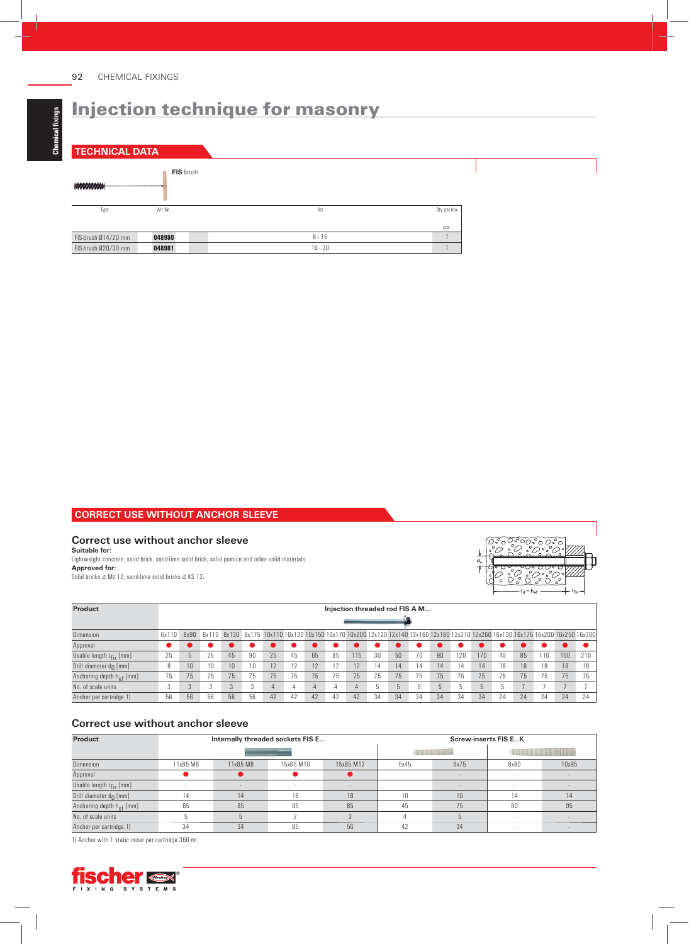**TECHNICAL DATA**



## **CORRECT USE WITHOUT ANCHOR SLEEVE**

## **Correct use without anchor sleeve**

**Suitable for:**  Lightweight concrete, solid brick, sand-lime solid brick, solid pumice and other solid materials **Approved for:** Solid bricks  $≥ Mz$  12, sand-lime solid bricks  $≥ KS$  12.



| Product                           | Injection threaded rod FIS A M |                 |    |                 |    |    |    |    |    |     |    |    |    |                |     |                                                                                                                                   |    |    |    |     |     |
|-----------------------------------|--------------------------------|-----------------|----|-----------------|----|----|----|----|----|-----|----|----|----|----------------|-----|-----------------------------------------------------------------------------------------------------------------------------------|----|----|----|-----|-----|
|                                   |                                |                 |    |                 |    |    |    |    |    |     |    |    |    |                |     |                                                                                                                                   |    |    |    |     |     |
| <b>Dimension</b>                  | 6x110                          | 8x90            |    |                 |    |    |    |    |    |     |    |    |    |                |     | 8x110 8x130 8x175 10x110 10x130 10x150 10x170 10x200 12x120 12x140 12x160 12x180 12x210 12x260 16x130 16x175 16x200 16x250 16x300 |    |    |    |     |     |
| Approval                          |                                |                 |    |                 |    |    |    |    |    |     |    |    |    |                |     |                                                                                                                                   |    |    |    |     |     |
| Usable length $t_{fix}$ [mm]      | 25                             |                 | 25 | 45              | 90 | 25 | 45 | 65 | 85 | 115 | 30 | 50 | 70 | 90             | 120 | 170                                                                                                                               | 40 | 85 | 10 | 160 | 210 |
| Drill diameter $d_{\Omega}$ [mm]  | 8                              | 10 <sup>1</sup> | 10 | 10 <sup>1</sup> |    | 12 |    | 12 |    | 12  | 14 | 14 | 14 | 14             | 14  | 14                                                                                                                                | 18 | 18 | 18 | 18  | 18  |
| Anchoring depth $h_{\rho f}$ [mm] | 75                             | 75              | 75 | 75              | 75 | 75 | 75 | 75 | 75 | 75  | 75 | 75 | 75 | 75             | 75  | 75                                                                                                                                | 75 | 75 | 75 | 75  | 75  |
| No. of scale units                |                                |                 |    | 3               |    |    |    |    |    |     |    | h  |    | $\overline{5}$ |     | $\overline{5}$                                                                                                                    |    |    |    |     |     |
| Anchor per cartridge 1)           | 56                             | 56              | 56 | 56              | 56 | 42 | 42 | 42 | 42 | 42  | 34 | 34 | 34 | 34             | 34  | 34                                                                                                                                | 24 | 24 | 24 | 24  | 24  |

## **Correct use without anchor sleeve**

| Product                              |          | Internally threaded sockets FIS E |           |           | <b>Screw-inserts FIS EK</b> |          |                                      |       |  |  |
|--------------------------------------|----------|-----------------------------------|-----------|-----------|-----------------------------|----------|--------------------------------------|-------|--|--|
|                                      |          |                                   |           |           |                             |          | design and the state of the state of |       |  |  |
| Dimension                            | 11x85 M6 | 11x85 M8                          | 15x85 M10 | 15x85 M12 | 5x45                        | 6x75     | 8x80                                 | 10x95 |  |  |
| Approval                             |          |                                   |           |           |                             | <b>.</b> | $\overline{\phantom{a}}$             |       |  |  |
| Usable length $t_{fix}$ [mm]         |          |                                   |           |           |                             | <b>.</b> |                                      |       |  |  |
| Drill diameter $d_{\bigcap}$ [mm]    | 14       | $\sqrt{4}$                        | 18        | 18        | 10                          | 10       |                                      |       |  |  |
| Anchoring depth h <sub>ef</sub> [mm] | 85       | 85                                | 85        | 85        | 45                          | 75       | 80                                   | 95    |  |  |
| No. of scale units                   |          |                                   |           |           |                             |          |                                      |       |  |  |
| Anchor per cartridge 1)              | 34       | 34                                | 85        | 56        |                             | 34       |                                      |       |  |  |

1) Anchor with 1 static mixer per cartridge 360 ml

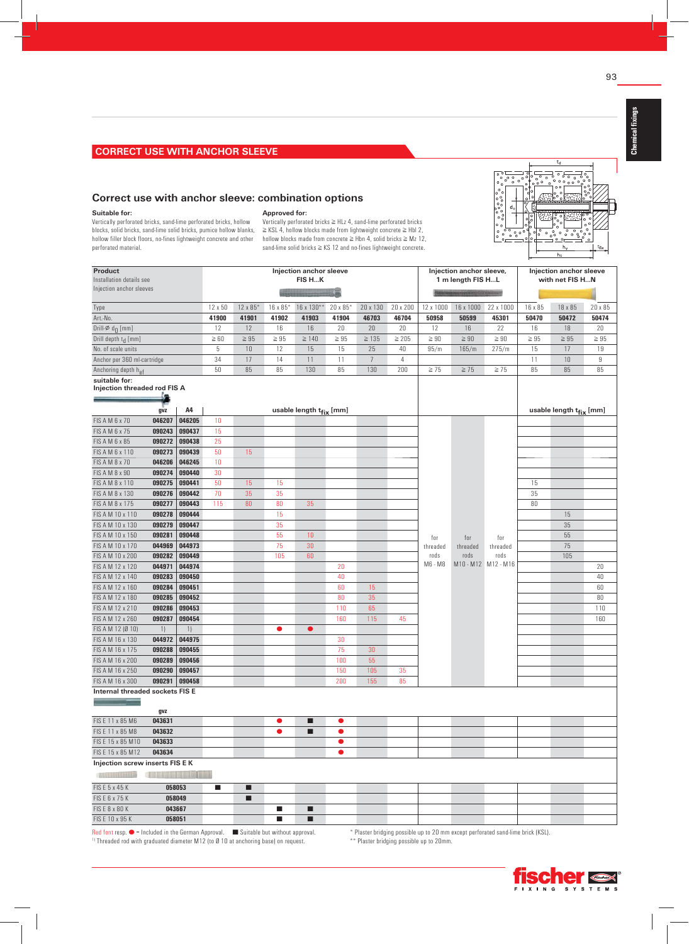**Correct use with anchor sleeve: combination options**

# ိုးိိ

**Suitable for:**  Vertically perforated bricks, sand-lime perforated bricks, hollow blocks, solid bricks, sand-lime solid bricks, pumice hollow blanks, hollow filler block floors, no-fines lightweight concrete and other

perforated material.

#### **Approved for:**

Vertically perforated bricks ≧ HLz 4, sand-lime perforated bricks ≧ KSL 4, hollow blocks made from lightweight concrete ≧ Hbl 2, hollow blocks made from concrete ≧ Hbn 4, solid bricks ≧ Mz 12, sand-lime solid bricks ≧ KS 12 and no-fines lightweight concrete.

| Product<br>Installation details see<br>Injection anchor sleeves |                                                                                                                                                                                                                                      |        | Injection anchor sleeve<br>FIS HK |           |                |                                     |           |                |                |                 | Injection anchor sleeve,<br>1 m length FIS HL |                         | Injection anchor sleeve<br>with net FIS HN |                                     |           |
|-----------------------------------------------------------------|--------------------------------------------------------------------------------------------------------------------------------------------------------------------------------------------------------------------------------------|--------|-----------------------------------|-----------|----------------|-------------------------------------|-----------|----------------|----------------|-----------------|-----------------------------------------------|-------------------------|--------------------------------------------|-------------------------------------|-----------|
|                                                                 |                                                                                                                                                                                                                                      |        | 12 x 50                           | 12 x 85*  | 16 x 85*       | 16 x 130**                          | 20 x 85*  | 20 x 130       | 20 x 200       | 12 x 1000       | 16 x 1000                                     | 22 x 1000               | 16 x 85                                    | 18 x 85                             | 20 x 85   |
| Type<br>Art.-No.                                                |                                                                                                                                                                                                                                      |        | 41900                             | 41901     | 41902          | 41903                               | 41904     | 46703          | 46704          | 50958           | 50599                                         | 45301                   | 50470                                      | 50472                               | 50474     |
| Drill- $\varphi$ d <sub>0</sub> [mm]                            |                                                                                                                                                                                                                                      |        | 12                                | 12        | 16             | 16                                  | 20        | 20             | 20             | 12              | 16                                            | 22                      | 16                                         | $18\,$                              | 20        |
| Drill depth t <sub>d</sub> [mm]                                 |                                                                                                                                                                                                                                      |        | $\geq 60$                         | $\geq 95$ | $\geq 95$      | $\geq 140$                          | $\geq 95$ | $\geq 135$     | $\geq 205$     | $\geq 90$       | $\geq 90$                                     | $\geq 90$               | $\geq 95$                                  | $\geq 95$                           | $\geq 95$ |
| No. of scale units                                              |                                                                                                                                                                                                                                      |        | 5                                 | 10        | 12             | 15                                  | 15        | 25             | 40             | 95/m            | 165/m                                         | 275/m                   | 15                                         | 17                                  | 19        |
| Anchor per 360 ml-cartridge                                     |                                                                                                                                                                                                                                      |        | 34                                | 17        | 14             | 11                                  | 11        | $\overline{7}$ | $\overline{4}$ |                 |                                               |                         | 11                                         | 10                                  | 9         |
| Anchoring depth h <sub>ef</sub>                                 |                                                                                                                                                                                                                                      |        | 50                                | 85        | 85             | 130                                 | 85        | 130            | 200            | $\geq 75$       | $\geq 75$                                     | $\geq 75$               | 85                                         | 85                                  | 85        |
| suitable for:<br><b>Injection threaded rod FIS A</b>            |                                                                                                                                                                                                                                      |        |                                   |           |                |                                     |           |                |                |                 |                                               |                         |                                            |                                     |           |
|                                                                 | gvz                                                                                                                                                                                                                                  | A4     |                                   |           |                | usable length t <sub>fix</sub> [mm] |           |                |                |                 |                                               |                         |                                            | usable length t <sub>fix</sub> [mm] |           |
| FIS A M 6 x 70                                                  | 046207                                                                                                                                                                                                                               | 046205 | 10                                |           |                |                                     |           |                |                |                 |                                               |                         |                                            |                                     |           |
| FIS A M 6 x 75                                                  | 090243                                                                                                                                                                                                                               | 090437 | 15                                |           |                |                                     |           |                |                |                 |                                               |                         |                                            |                                     |           |
| FIS A M 6 x 85                                                  | 090272                                                                                                                                                                                                                               | 090438 | 25                                |           |                |                                     |           |                |                |                 |                                               |                         |                                            |                                     |           |
| FIS A M 6 x 110                                                 | 090273                                                                                                                                                                                                                               | 090439 | 50                                | 15        |                |                                     |           |                |                |                 |                                               |                         |                                            |                                     |           |
| FIS A M 8 x 70                                                  | 046206                                                                                                                                                                                                                               | 046245 | 10                                |           |                |                                     |           |                |                |                 |                                               |                         |                                            |                                     |           |
| FIS A M 8 x 90                                                  | 090274                                                                                                                                                                                                                               | 090440 | 30                                |           |                |                                     |           |                |                |                 |                                               |                         |                                            |                                     |           |
| FIS A M 8 x 110                                                 | 090275                                                                                                                                                                                                                               | 090441 | 50                                | 15        | 15             |                                     |           |                |                |                 |                                               |                         | 15                                         |                                     |           |
| FIS A M 8 x 130                                                 | 090276                                                                                                                                                                                                                               | 090442 | 70                                | 35        | 35             |                                     |           |                |                |                 |                                               |                         | 35                                         |                                     |           |
| FIS A M 8 x 175                                                 | 090277                                                                                                                                                                                                                               | 090443 | 115                               | 80        | 80             | 35                                  |           |                |                |                 |                                               |                         | 80                                         |                                     |           |
| FIS A M 10 x 110                                                | 090278                                                                                                                                                                                                                               | 090444 |                                   |           | 15             |                                     |           |                |                |                 |                                               |                         |                                            | 15                                  |           |
| FIS A M 10 x 130                                                | 090279                                                                                                                                                                                                                               | 090447 |                                   |           | 35             |                                     |           |                |                |                 |                                               |                         |                                            | 35                                  |           |
| FIS A M 10 x 150                                                | 090281                                                                                                                                                                                                                               | 090448 |                                   |           | 55             | 10                                  |           |                |                | for             | for                                           | for                     |                                            | 55                                  |           |
| FIS A M 10 x 170                                                | 044969                                                                                                                                                                                                                               | 044973 |                                   |           | 75             | 30                                  |           |                |                | threaded        | threaded                                      | threaded                |                                            | 75                                  |           |
| FIS A M 10 x 200                                                | 090282                                                                                                                                                                                                                               | 090449 |                                   |           | 105            | 60                                  |           |                |                | rods<br>M6 - M8 | rods                                          | rods<br>M10-M12 M12-M16 |                                            | 105                                 |           |
| FIS A M 12 x 120                                                | 044971                                                                                                                                                                                                                               | 044974 |                                   |           |                |                                     | 20        |                |                |                 |                                               |                         |                                            |                                     | 20        |
| FIS A M 12 x 140                                                | 090283                                                                                                                                                                                                                               | 090450 |                                   |           |                |                                     | 40        |                |                |                 |                                               |                         |                                            |                                     | 40        |
| FIS A M 12 x 160                                                | 090284                                                                                                                                                                                                                               | 090451 |                                   |           |                |                                     | 60        | 15             |                |                 |                                               |                         |                                            |                                     | 60        |
| FIS A M 12 x 180                                                | 090285                                                                                                                                                                                                                               | 090452 |                                   |           |                |                                     | 80        | 35             |                |                 |                                               |                         |                                            |                                     | 80        |
| FIS A M 12 x 210                                                | 090286                                                                                                                                                                                                                               | 090453 |                                   |           |                |                                     | 110       | 65             |                |                 |                                               |                         |                                            |                                     | 110       |
| FIS A M 12 x 260                                                | 090287                                                                                                                                                                                                                               | 090454 |                                   |           |                |                                     | 160       | 115            | 45             |                 |                                               |                         |                                            |                                     | 160       |
| FIS A M 12 (Ø 10)                                               | 1)                                                                                                                                                                                                                                   | 1)     |                                   |           | $\bullet$      | $\bullet$                           |           |                |                |                 |                                               |                         |                                            |                                     |           |
| FIS A M 16 x 130                                                | 044972                                                                                                                                                                                                                               | 044975 |                                   |           |                |                                     | 30        |                |                |                 |                                               |                         |                                            |                                     |           |
| FIS A M 16 x 175                                                | 090288                                                                                                                                                                                                                               | 090455 |                                   |           |                |                                     | 75        | 30             |                |                 |                                               |                         |                                            |                                     |           |
| FIS A M 16 x 200                                                | 090289                                                                                                                                                                                                                               | 090456 |                                   |           |                |                                     | 100       | 55             |                |                 |                                               |                         |                                            |                                     |           |
| FIS A M 16 x 250                                                | 090290                                                                                                                                                                                                                               | 090457 |                                   |           |                |                                     | 150       | 105            | 35             |                 |                                               |                         |                                            |                                     |           |
| FIS A M 16 x 300                                                | 090291                                                                                                                                                                                                                               | 090458 |                                   |           |                |                                     | 200       | 155            | 85             |                 |                                               |                         |                                            |                                     |           |
| Internal threaded sockets FIS E                                 | gvz                                                                                                                                                                                                                                  |        |                                   |           |                |                                     |           |                |                |                 |                                               |                         |                                            |                                     |           |
| FIS E 11 x 85 M6                                                | 043631                                                                                                                                                                                                                               |        |                                   |           | $\bullet$      | п                                   | $\bullet$ |                |                |                 |                                               |                         |                                            |                                     |           |
| FIS E 11 x 85 M8                                                | 043632                                                                                                                                                                                                                               |        |                                   |           | $\bullet$      | ш                                   | $\bullet$ |                |                |                 |                                               |                         |                                            |                                     |           |
| FIS E 15 x 85 M10                                               | 043633                                                                                                                                                                                                                               |        |                                   |           |                |                                     | $\bullet$ |                |                |                 |                                               |                         |                                            |                                     |           |
| FIS E 15 x 85 M12                                               | 043634                                                                                                                                                                                                                               |        |                                   |           |                |                                     | $\bullet$ |                |                |                 |                                               |                         |                                            |                                     |           |
| Injection screw inserts FIS E K                                 | <b>Contract Contract Contract Contract Contract Contract Contract Contract Contract Contract Contract Contract Contract Contract Contract Contract Contract Contract Contract Contract Contract Contract Contract Contract Contr</b> |        |                                   |           |                |                                     |           |                |                |                 |                                               |                         |                                            |                                     |           |
| FIS E 5 x 45 K                                                  |                                                                                                                                                                                                                                      | 058053 | $\blacksquare$                    | ■         |                |                                     |           |                |                |                 |                                               |                         |                                            |                                     |           |
| FIS E 6 x 75 K                                                  |                                                                                                                                                                                                                                      | 058049 |                                   | П         |                |                                     |           |                |                |                 |                                               |                         |                                            |                                     |           |
| FIS E 8 x 80 K                                                  |                                                                                                                                                                                                                                      | 043667 |                                   |           | $\blacksquare$ | ■                                   |           |                |                |                 |                                               |                         |                                            |                                     |           |
| FIS E 10 x 95 K                                                 |                                                                                                                                                                                                                                      | 058051 |                                   |           | $\blacksquare$ | п                                   |           |                |                |                 |                                               |                         |                                            |                                     |           |

Red font resp.  $\bullet$  – Included in the German Approval. Suitable but without approval.<br>
"Threaded rod with graduated diameter M12 (to Ø10 at anchoring base) on request. \*\* Plaster bridging possible up to 20mm.

**Chemical fi xings**

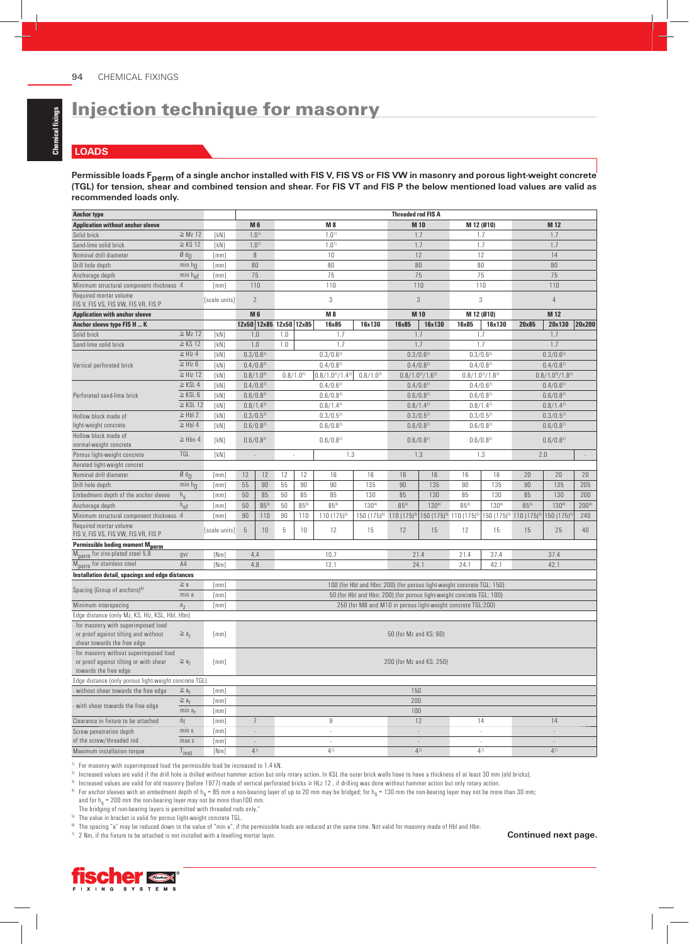## **LOADS**

Permissible loads F<sub>perm</sub> of a single anchor installed with FIS V, FIS VS or FIS VW in masonry and porous light-weight concrete **(TGL) for tension, shear and combined tension and shear. For FIS VT and FIS P the below mentioned load values are valid as recommended loads only.**

| <b>Anchor type</b>                                                                                        |                            | <b>Threaded rod FIS A</b> |                          |                           |                |          |                          |                                                                        |                                |                                                 |                          |           |                                                 |                          |            |
|-----------------------------------------------------------------------------------------------------------|----------------------------|---------------------------|--------------------------|---------------------------|----------------|----------|--------------------------|------------------------------------------------------------------------|--------------------------------|-------------------------------------------------|--------------------------|-----------|-------------------------------------------------|--------------------------|------------|
| <b>Application without anchor sleeve</b>                                                                  |                            |                           |                          | <b>M6</b>                 |                |          | M 8                      |                                                                        |                                | M 10                                            | M 12 (Ø10)               |           |                                                 | M 12                     |            |
| Solid brick                                                                                               | $\geq Mz$ 12               | [kN]                      |                          | 1.0 <sup>1</sup>          |                |          | 1.0 <sup>1</sup>         |                                                                        | 1.7                            |                                                 | 1.7                      |           |                                                 | 1.7                      |            |
| Sand-lime solid brick                                                                                     | $\geq$ KS 12               | [kN]                      |                          | 1.0 <sup>1</sup>          |                |          | 1.0 <sup>1</sup>         |                                                                        |                                | 1.7                                             | 1.7                      |           |                                                 | 1.7                      |            |
| Nominal drill diameter                                                                                    | $\emptyset$ d <sub>n</sub> | [mm]                      |                          | 8                         |                |          | 10                       |                                                                        |                                | 12                                              | 12                       |           |                                                 | 14                       |            |
| Drill hole depth                                                                                          | min $h_{\Omega}$           | [mm]                      |                          | 80                        |                |          | 80                       |                                                                        |                                | 80                                              | 80                       |           |                                                 |                          |            |
| Anchorage depth                                                                                           | $min h_{ef}$               | [mm]                      |                          | 75                        |                |          | 75                       |                                                                        |                                | 75                                              | 75                       |           |                                                 | 75                       |            |
| Minimum structural component thickness d                                                                  |                            | [mm]                      |                          | 110                       |                |          | 110                      |                                                                        |                                | 110                                             | 110                      |           |                                                 | 110                      |            |
| Required mortar volume<br>FIS V, FIS VS, FIS VW, FIS VR, FIS P                                            |                            | [scale units]             |                          | $\overline{2}$            |                |          | 3                        |                                                                        |                                | 3                                               | 3                        |           |                                                 | $\overline{4}$           |            |
| <b>Application with anchor sleeve</b>                                                                     |                            |                           |                          | <b>M6</b>                 |                |          | M 8                      |                                                                        |                                | M 10                                            | M 12 (Ø10)               |           |                                                 | M 12                     |            |
| Anchor sleeve type FIS H  K                                                                               |                            |                           |                          | 12x50 12x85 12x50 12x85   |                |          | 16x85                    | 16x130                                                                 | 16x85                          | 16x130                                          | 16x85                    | 16x130    | 20x85                                           | 20x130                   | 20x200     |
| Solid brick                                                                                               | $\geq Mz$ 12               | [kN]                      |                          | 1.0                       | 1.0            |          | 1.7                      |                                                                        |                                | 1.7                                             | 1.7                      |           |                                                 | 1.7                      |            |
| Sand-lime solid brick                                                                                     | $\geq$ KS 12               | [kN]                      |                          | 1.0                       | 1.0            |          | 1.7                      |                                                                        | 1.7                            |                                                 |                          | 1.7       |                                                 | 1.7                      |            |
|                                                                                                           | $\geq$ HIz 4               | [kN]                      |                          | $0.3/0.6^{2}$             |                |          | $0.3/0.6^{2}$            |                                                                        |                                | $0.3/0.6^{2}$                                   | $0.3/0.6^{2}$            |           |                                                 | $0.3/0.6^{2}$            |            |
| Vertical perforated brick                                                                                 | $\geq$ HIz 6               | [kN]                      |                          | $0.4/0.8^{2}$             |                |          | $0.4/0.8^{2}$            |                                                                        | $0.4/0.8^{2}$                  |                                                 | $0.4/0.8^{2}$            |           |                                                 | $0.4/0.8^{2}$            |            |
|                                                                                                           | $\geq$ HIz 12              | [kN]                      |                          | $0.8/1.0^{2}$             | $0.8/1.0^{21}$ |          | $0.8/1.0^{21}/1.4^{31}$  | $0.8/1.0^{2}$                                                          | $0.8/1.0^{21}/1.6^{31}$        |                                                 | $0.8/1.0^{21}/1.8^{31}$  |           |                                                 | $0.8/1.0^{21}/1.8^{31}$  |            |
|                                                                                                           | $\ge$ KSL 4                | [kN]                      |                          | $0.4/0.6^{2}$             |                |          | $0.4/0.6^{2}$            |                                                                        |                                | $0.4/0.6^{2}$                                   | $0.4/0.6^{2}$            |           | $0.4/0.6^{2}$                                   |                          |            |
| Perforated sand-lime brick                                                                                | $\geq$ KSL 6               | [kN]                      |                          | $0.6/0.8^{2}$             |                |          | $0.6/0.8^{2}$            |                                                                        |                                |                                                 | $0.6/0.8^{2}$            |           |                                                 | $0.6/0.8^{2}$            |            |
|                                                                                                           | $\ge$ KSL 12               |                           |                          | $0.8/1.4^{21}$            |                |          | $0.8/1.4^{2}$            |                                                                        | $0.6/0.8^{2}$<br>$0.8/1.4^{2}$ |                                                 |                          |           |                                                 | $0.8/1.4^{2}$            |            |
|                                                                                                           |                            | [kN]                      |                          |                           |                |          |                          |                                                                        | $0.3/0.5^{2}$                  |                                                 | $0.8/1.4^{2}$            |           |                                                 |                          |            |
| Hollow block made of                                                                                      | $\geq$ HbI 2               | [kN]                      |                          | $0.3/0.5^{2}$             |                |          | $0.3/0.5^{2}$            |                                                                        | $0.6/0.8^{2}$                  |                                                 | $0.3/0.5^{2}$            |           | $0.3/0.5^{2}$                                   |                          |            |
| light-weight concrete                                                                                     | $\geq$ HbI 4               | [kN]                      |                          | $0.6/0.8^{2}$             |                |          | $0.6/0.8^{2}$            |                                                                        |                                |                                                 | $0.6/0.8^{2}$            |           |                                                 | $0.6/0.8^{2}$            |            |
| Hollow block made of                                                                                      | $\geq$ Hbn 4               | [kN]                      |                          | $0.6/0.8^{2}$             |                |          | $0.6/0.8^{2}$            |                                                                        |                                | $0.6/0.8^{2}$                                   | $0.6/0.8^{2}$            |           |                                                 | $0.6/0.8^{2}$            |            |
| normal-weight concrete                                                                                    | TGL                        |                           |                          |                           |                |          |                          |                                                                        |                                |                                                 |                          |           |                                                 |                          |            |
| Porous light-weight concrete                                                                              |                            | [kN]                      |                          | $\sim$                    | $\sim$         |          | 1.3                      |                                                                        |                                | 1.3                                             |                          | 1.3       | 2.0                                             |                          | $\sim$     |
| Aerated light-weight concret                                                                              |                            |                           |                          |                           |                |          |                          |                                                                        |                                |                                                 |                          |           |                                                 |                          |            |
| Nominal drill diameter                                                                                    | $\emptyset$ d <sub>n</sub> | $\lceil mm \rceil$        | 12                       | 12                        | 12             | 12       | 16                       | 16                                                                     | 16                             | 16                                              | 16                       | 16        | 20                                              | 20                       | 20         |
| Drill hole depth                                                                                          | min $h_{\Omega}$           | [mm]                      | 55                       | 90                        | 55             | 90       | 90                       | 135                                                                    | 90                             | 135                                             | 90                       | 135       | 90                                              | 135                      | 205        |
| Embedment depth of the anchor sleeve                                                                      | $h_{S}$                    | [mm]                      | 50                       | 85                        | 50             | 85       | 85                       | 130                                                                    | 85                             | 130                                             | 85                       | 130       | 85                                              | 130                      | 200        |
| Anchorage depth                                                                                           | $h_{ef}$                   | [mm]                      | 50                       | $85^{4}$                  | 50             | $85^{4}$ | $85^{4}$                 | $130^{4}$                                                              | $85^{4}$                       | $130^{4}$                                       | $85^{4}$                 | $130^{4}$ | $85^{4}$                                        | 1304                     | $200^{41}$ |
| Minimum structural component thickness d                                                                  |                            | [mm]                      | 90                       | 110                       | 90             | 110      | $110(175)^{5}$           | 150 (175) <sup>5)</sup> 110 (175) <sup>5)</sup>                        |                                | 150 (175) <sup>5)</sup> 110 (175) <sup>5)</sup> |                          |           | 150 (175) <sup>5)</sup> 110 (175) <sup>5)</sup> | 150 (175)                | 240        |
| Required mortar volume<br>FIS V, FIS VS, FIS VW, FIS VR, FIS P                                            |                            | [scale units]             | $\overline{5}$           | 10                        | 5              | 10       | 12                       | 15                                                                     | 12                             | 15                                              | 12                       | 15        | 15                                              | 25                       | 40         |
| Permissible beding moment Mperm                                                                           |                            |                           |                          |                           |                |          |                          |                                                                        |                                |                                                 |                          |           |                                                 |                          |            |
| M <sub>perm</sub> for zinc-plated steel 5.8                                                               | gvz                        | [Nm]                      |                          | 4.4                       |                |          | 10.7                     |                                                                        | 21.4                           |                                                 | 21.4                     | 37.4      |                                                 | 37.4                     |            |
| M <sub>perm</sub> for stainless steel                                                                     | A4                         | [Nm]                      |                          | 4.8                       |                |          | 12.1                     |                                                                        | 24.1                           |                                                 | 24.1                     | 42.1      |                                                 | 42.1                     |            |
| Installation detail, spacings and edge distances                                                          |                            |                           |                          |                           |                |          |                          |                                                                        |                                |                                                 |                          |           |                                                 |                          |            |
|                                                                                                           | $\geq a$                   | [mm]                      |                          |                           |                |          |                          | 100 (for HbI and Hbn: 200) (for porous light-weight concrete TGL: 150) |                                |                                                 |                          |           |                                                 |                          |            |
| Spacing (Group of anchors) <sup>6)</sup>                                                                  | min a                      | [mm]                      |                          |                           |                |          |                          | 50 (for HbI and Hbn: 200) (for porous light-weight concrete TGL: 100)  |                                |                                                 |                          |           |                                                 |                          |            |
| Minimum interspacing                                                                                      | a <sub>7</sub>             | [mm]                      |                          |                           |                |          |                          | 250 (for M8 and M10 in porous light-weight concrete TGL:200)           |                                |                                                 |                          |           |                                                 |                          |            |
| Edge distance (only Mz, KS, HIz, KSL, HbI, Hbn)                                                           |                            |                           |                          |                           |                |          |                          |                                                                        |                                |                                                 |                          |           |                                                 |                          |            |
| for masonry with superimposed load<br>or proof against tilting and without<br>shear towards the free edge | $\geq a_{r}$               | [mm]                      |                          |                           |                |          |                          |                                                                        | 50 (for Mz and KS: 60)         |                                                 |                          |           |                                                 |                          |            |
| for masonry without superimposed load<br>or proof against tilting or with shear<br>towards the free edge  | $\geq a_r$                 | [mm]                      | 200 (for Mz and KS: 250) |                           |                |          |                          |                                                                        |                                |                                                 |                          |           |                                                 |                          |            |
| Edge distance (only porous light-weight concrete TGL)                                                     |                            |                           |                          |                           |                |          |                          |                                                                        |                                |                                                 |                          |           |                                                 |                          |            |
| - without shear towards the free edge                                                                     | $\geq a_r$                 | [mm]                      |                          |                           |                |          |                          |                                                                        | 150                            |                                                 |                          |           |                                                 |                          |            |
| - with shear towards the free edge                                                                        | $\geq a_r$                 | [mm]                      |                          |                           |                |          |                          |                                                                        | 200                            |                                                 |                          |           |                                                 |                          |            |
|                                                                                                           | min a <sub>r</sub>         | [mm]                      |                          |                           |                |          |                          |                                                                        | 100                            |                                                 |                          |           |                                                 |                          |            |
| Clearance in fixture to be attached                                                                       | df                         | [mm]                      |                          | $\overline{\mathfrak{I}}$ |                |          | 9                        |                                                                        |                                | 12                                              |                          | 14        |                                                 | 14                       |            |
| Screw penetration depth                                                                                   | min s                      | [mm]                      |                          | $\overline{\phantom{a}}$  |                |          | $\overline{\phantom{a}}$ |                                                                        | $\sim$                         |                                                 | $\overline{\phantom{a}}$ |           |                                                 | $\overline{\phantom{a}}$ |            |
| of the screw/threaded rod                                                                                 | max s                      | [mm]                      |                          | $\bar{\phantom{a}}$       |                |          | ÷.                       |                                                                        |                                | $\omega$                                        |                          | $\sim$    |                                                 | $\bar{z}$                |            |
| Maximum installation torque                                                                               | Tinst                      | [Nm]                      |                          | $4^{7}$                   |                |          | $4^{7}$                  |                                                                        |                                | $4^{7}$                                         | $4^{7}$                  |           |                                                 | $4^{7}$                  |            |

1) For masonry with superimposed load the permissible load be increased to 1.4 kN.

2) Increased values are valid if the drill hole is drilled without hammer action but only rotary action. In KSL the outer brick walls have to have a thickness of at least 30 mm (old bricks).

3) Increased values are valid for old masonry (before 1977) made of vertical perforated bricks ≥ HLz 12 , if drilling was done without hammer action but only rotary action.

 $^{4)}$  For anchor sleeves with an embedment depth of h<sub>s</sub> = 85 mm a non-bearing layer of up to 20 mm may be bridged; for h<sub>s</sub> = 130 mm the non-bearing layer may not be more than 30 mm;

and for  $h_s$  = 200 mm the non-bearing layer may not be more than 100 mm.

The bridging of non-bearing layers is permitted with threaded rods only."

5) The value in bracket is valid for porous light-weight concrete TGL.

<sup>6)</sup> The spacing "a" may be reduced down to the value of "min a", if the permissible loads are reduced at the same time. Not valid for masonry made of Hbl and Hbn.

7) 2 Nm, if the fixture to be attached is not installed with a levelling mortar layer. **Continued next page.**